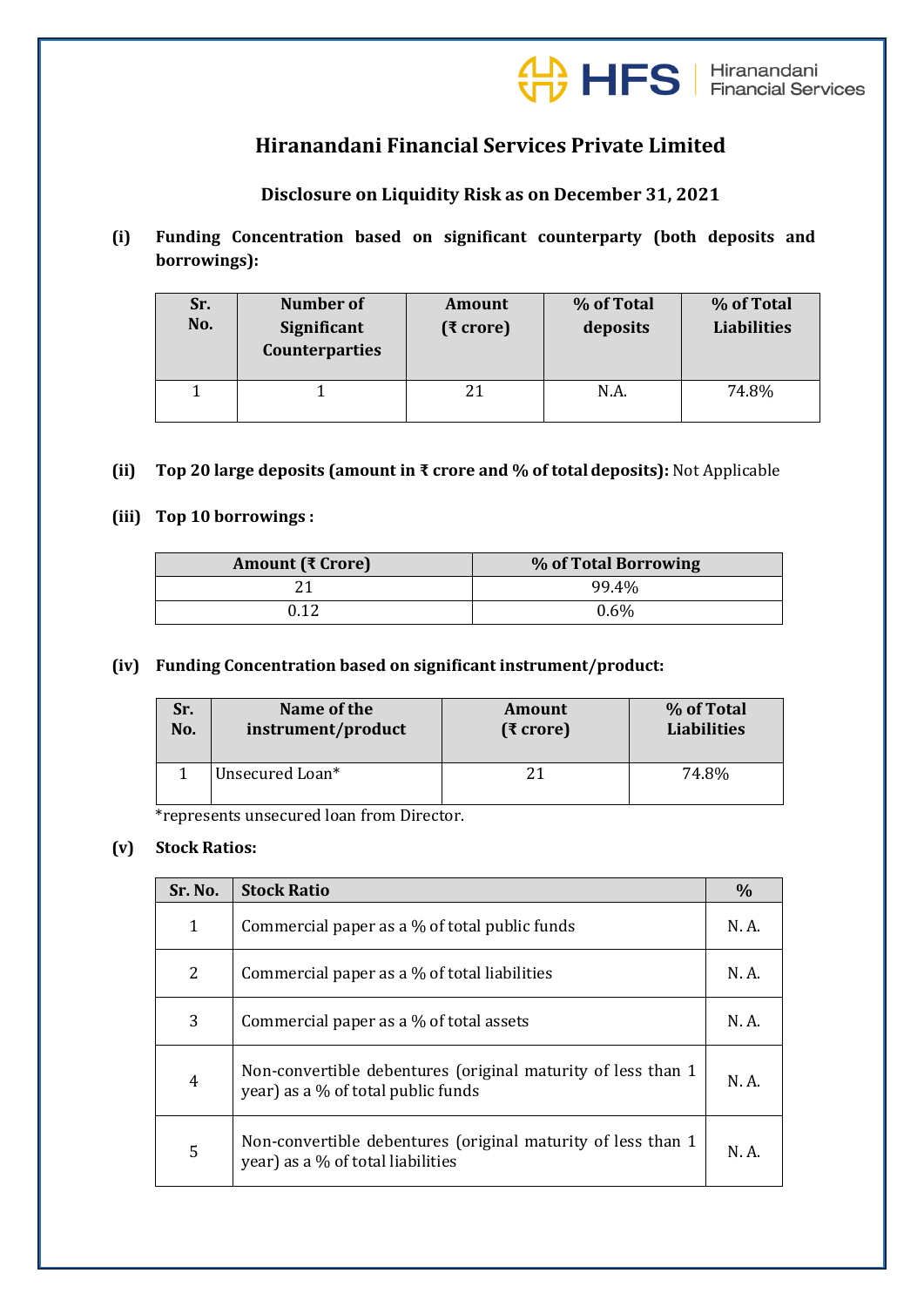

# **Hiranandani Financial Services Private Limited**

# **Disclosure on Liquidity Risk as on December 31, 2021**

**(i) Funding Concentration based on significant counterparty (both deposits and borrowings):**

| Sr.<br>No. | <b>Number of</b><br>Significant<br><b>Counterparties</b> | <b>Amount</b><br>(₹ crore) | % of Total<br>deposits | % of Total<br><b>Liabilities</b> |
|------------|----------------------------------------------------------|----------------------------|------------------------|----------------------------------|
|            |                                                          | 21                         | N.A.                   | 74.8%                            |

## **(ii) Top 20 large deposits (amount in ₹ crore and % of totaldeposits):** Not Applicable

## **(iii) Top 10 borrowings :**

| Amount (₹ Crore) | % of Total Borrowing |
|------------------|----------------------|
|                  | 99.4%                |
|                  | $0.6\%$              |

#### **(iv) Funding Concentration based on significant instrument/product:**

| Sr. | Name of the        | Amount       | % of Total         |
|-----|--------------------|--------------|--------------------|
| No. | instrument/product | $(3)$ crore) | <b>Liabilities</b> |
|     | Unsecured Loan*    |              | 74.8%              |

\*represents unsecured loan from Director.

## **(v) Stock Ratios:**

| Sr. No. | <b>Stock Ratio</b>                                                                                 |       |
|---------|----------------------------------------------------------------------------------------------------|-------|
| 1       | Commercial paper as a % of total public funds                                                      |       |
| 2       | Commercial paper as a % of total liabilities                                                       | N. A. |
| 3       | Commercial paper as a % of total assets                                                            | N. A. |
| 4       | Non-convertible debentures (original maturity of less than 1<br>year) as a % of total public funds | N. A. |
| 5       | Non-convertible debentures (original maturity of less than 1<br>year) as a % of total liabilities  | N. A. |